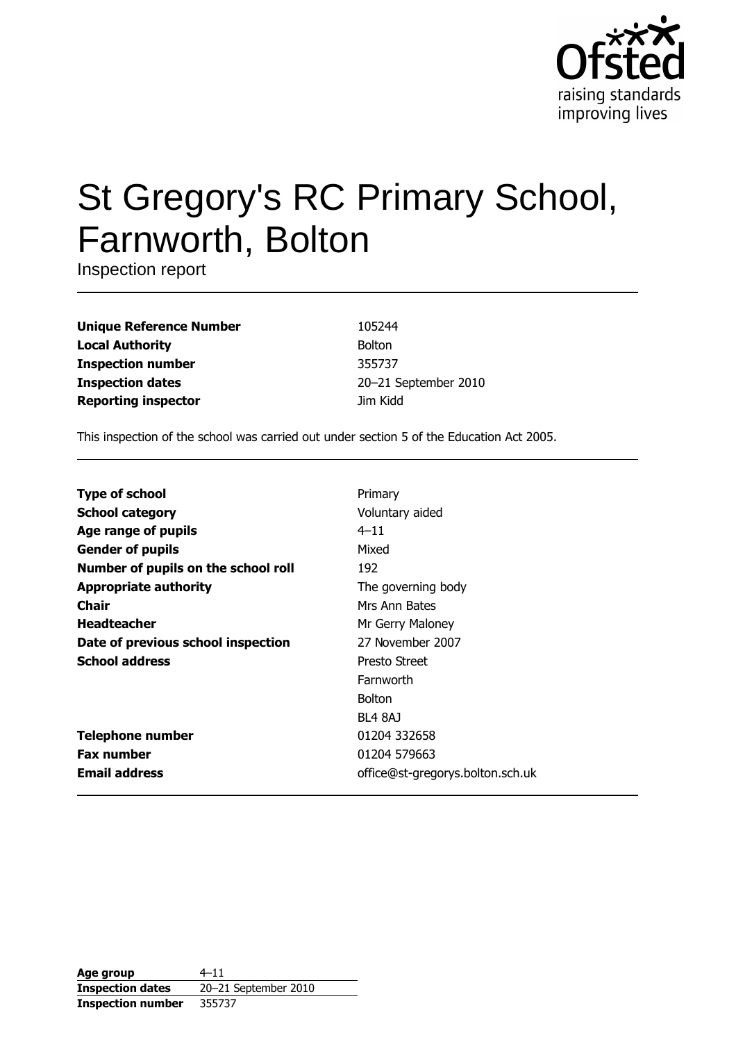

# St Gregory's RC Primary School, Farnworth, Bolton

Inspection report

**Unique Reference Number Local Authority Inspection number Inspection dates Reporting inspector** 

105244 Bolton 355737 20-21 September 2010 Jim Kidd

This inspection of the school was carried out under section 5 of the Education Act 2005.

| <b>Type of school</b>               | Primary                          |
|-------------------------------------|----------------------------------|
| <b>School category</b>              | Voluntary aided                  |
| Age range of pupils                 | $4 - 11$                         |
| <b>Gender of pupils</b>             | Mixed                            |
| Number of pupils on the school roll | 192                              |
| <b>Appropriate authority</b>        | The governing body               |
| Chair                               | Mrs Ann Bates                    |
| <b>Headteacher</b>                  | Mr Gerry Maloney                 |
| Date of previous school inspection  | 27 November 2007                 |
| <b>School address</b>               | Presto Street                    |
|                                     | Farnworth                        |
|                                     | <b>Bolton</b>                    |
|                                     | BL4 8AJ                          |
| <b>Telephone number</b>             | 01204 332658                     |
| <b>Fax number</b>                   | 01204 579663                     |
| <b>Email address</b>                | office@st-gregorys.bolton.sch.uk |

| Age group                | $4 - 11$             |
|--------------------------|----------------------|
| <b>Inspection dates</b>  | 20-21 September 2010 |
| <b>Inspection number</b> | 355737               |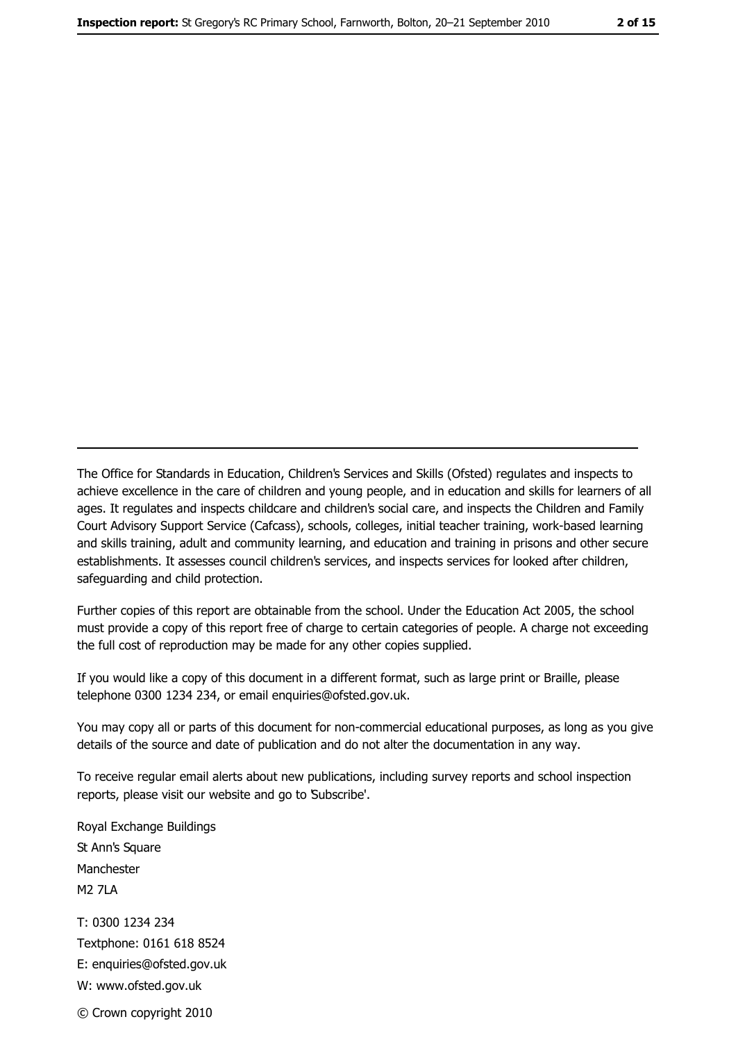The Office for Standards in Education, Children's Services and Skills (Ofsted) regulates and inspects to achieve excellence in the care of children and young people, and in education and skills for learners of all ages. It regulates and inspects childcare and children's social care, and inspects the Children and Family Court Advisory Support Service (Cafcass), schools, colleges, initial teacher training, work-based learning and skills training, adult and community learning, and education and training in prisons and other secure establishments. It assesses council children's services, and inspects services for looked after children, safeguarding and child protection.

Further copies of this report are obtainable from the school. Under the Education Act 2005, the school must provide a copy of this report free of charge to certain categories of people. A charge not exceeding the full cost of reproduction may be made for any other copies supplied.

If you would like a copy of this document in a different format, such as large print or Braille, please telephone 0300 1234 234, or email enquiries@ofsted.gov.uk.

You may copy all or parts of this document for non-commercial educational purposes, as long as you give details of the source and date of publication and do not alter the documentation in any way.

To receive regular email alerts about new publications, including survey reports and school inspection reports, please visit our website and go to Subscribe'.

Royal Exchange Buildings St Ann's Square Manchester **M2 7I A** T: 0300 1234 234 Textphone: 0161 618 8524 E: enquiries@ofsted.gov.uk W: www.ofsted.gov.uk © Crown copyright 2010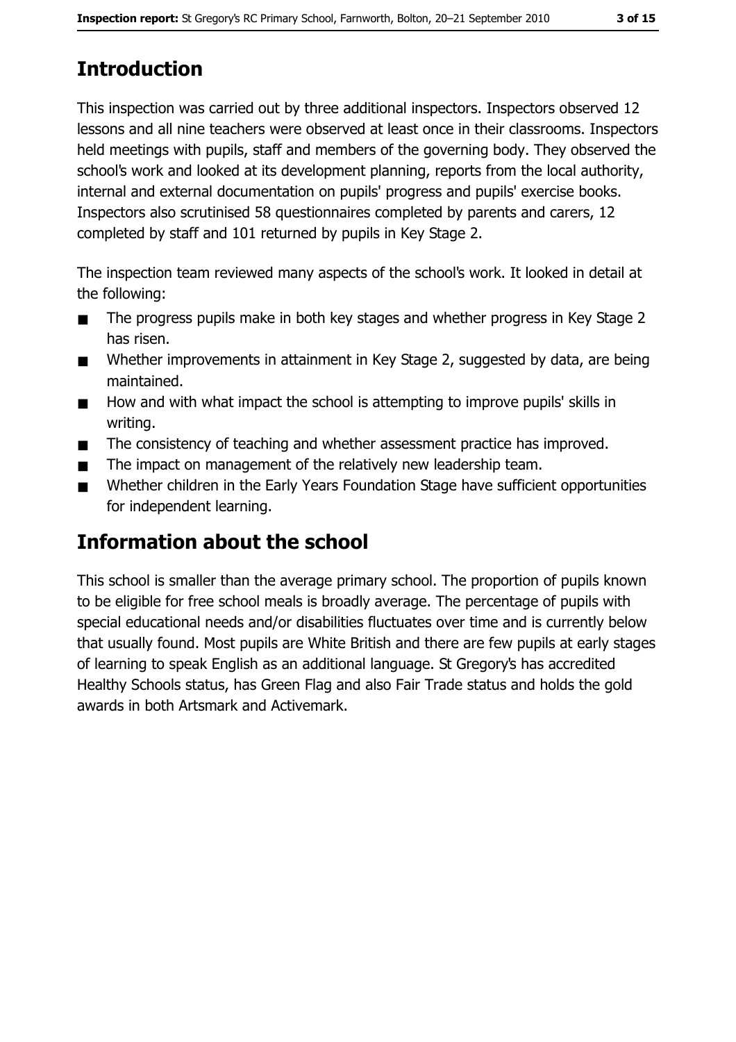# **Introduction**

This inspection was carried out by three additional inspectors. Inspectors observed 12 lessons and all nine teachers were observed at least once in their classrooms. Inspectors held meetings with pupils, staff and members of the governing body. They observed the school's work and looked at its development planning, reports from the local authority, internal and external documentation on pupils' progress and pupils' exercise books. Inspectors also scrutinised 58 questionnaires completed by parents and carers, 12 completed by staff and 101 returned by pupils in Key Stage 2.

The inspection team reviewed many aspects of the school's work. It looked in detail at the following:

- The progress pupils make in both key stages and whether progress in Key Stage 2  $\blacksquare$ has risen.
- Whether improvements in attainment in Key Stage 2, suggested by data, are being  $\blacksquare$ maintained.
- How and with what impact the school is attempting to improve pupils' skills in  $\blacksquare$ writing.
- The consistency of teaching and whether assessment practice has improved.  $\blacksquare$
- The impact on management of the relatively new leadership team.  $\blacksquare$
- Whether children in the Early Years Foundation Stage have sufficient opportunities  $\blacksquare$ for independent learning.

# **Information about the school**

This school is smaller than the average primary school. The proportion of pupils known to be eligible for free school meals is broadly average. The percentage of pupils with special educational needs and/or disabilities fluctuates over time and is currently below that usually found. Most pupils are White British and there are few pupils at early stages of learning to speak English as an additional language. St Gregory's has accredited Healthy Schools status, has Green Flag and also Fair Trade status and holds the gold awards in both Artsmark and Activemark.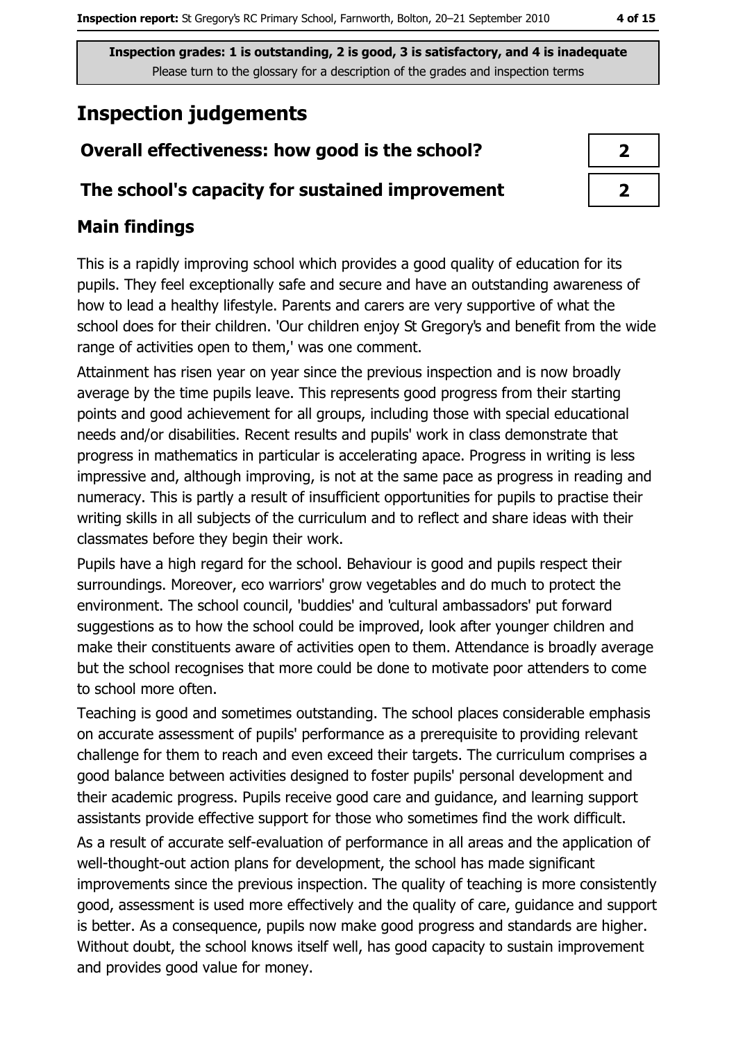# **Inspection judgements**

## Overall effectiveness: how good is the school?

#### The school's capacity for sustained improvement

## **Main findings**

This is a rapidly improving school which provides a good quality of education for its pupils. They feel exceptionally safe and secure and have an outstanding awareness of how to lead a healthy lifestyle. Parents and carers are very supportive of what the school does for their children. 'Our children enjoy St Gregory's and benefit from the wide range of activities open to them,' was one comment.

Attainment has risen year on year since the previous inspection and is now broadly average by the time pupils leave. This represents good progress from their starting points and good achievement for all groups, including those with special educational needs and/or disabilities. Recent results and pupils' work in class demonstrate that progress in mathematics in particular is accelerating apace. Progress in writing is less impressive and, although improving, is not at the same pace as progress in reading and numeracy. This is partly a result of insufficient opportunities for pupils to practise their writing skills in all subjects of the curriculum and to reflect and share ideas with their classmates before they begin their work.

Pupils have a high regard for the school. Behaviour is good and pupils respect their surroundings. Moreover, eco warriors' grow vegetables and do much to protect the environment. The school council, 'buddies' and 'cultural ambassadors' put forward suggestions as to how the school could be improved, look after younger children and make their constituents aware of activities open to them. Attendance is broadly average but the school recognises that more could be done to motivate poor attenders to come to school more often.

Teaching is good and sometimes outstanding. The school places considerable emphasis on accurate assessment of pupils' performance as a prerequisite to providing relevant challenge for them to reach and even exceed their targets. The curriculum comprises a good balance between activities designed to foster pupils' personal development and their academic progress. Pupils receive good care and guidance, and learning support assistants provide effective support for those who sometimes find the work difficult.

As a result of accurate self-evaluation of performance in all areas and the application of well-thought-out action plans for development, the school has made significant improvements since the previous inspection. The quality of teaching is more consistently good, assessment is used more effectively and the quality of care, quidance and support is better. As a consequence, pupils now make good progress and standards are higher. Without doubt, the school knows itself well, has good capacity to sustain improvement and provides good value for money.

| ↗ |  |
|---|--|
| ↗ |  |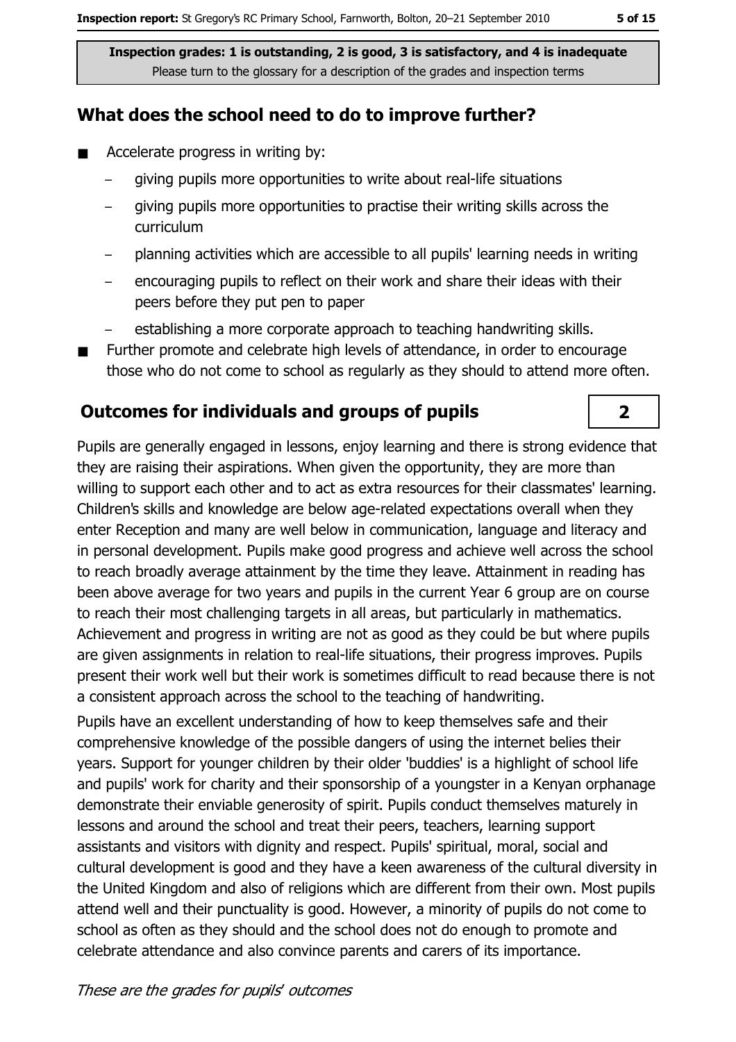#### What does the school need to do to improve further?

- Accelerate progress in writing by:  $\blacksquare$ 
	- giving pupils more opportunities to write about real-life situations
	- giving pupils more opportunities to practise their writing skills across the curriculum
	- planning activities which are accessible to all pupils' learning needs in writing
	- encouraging pupils to reflect on their work and share their ideas with their peers before they put pen to paper
	- establishing a more corporate approach to teaching handwriting skills.
- Further promote and celebrate high levels of attendance, in order to encourage those who do not come to school as regularly as they should to attend more often.

#### **Outcomes for individuals and groups of pupils**

Pupils are generally engaged in lessons, enjoy learning and there is strong evidence that they are raising their aspirations. When given the opportunity, they are more than willing to support each other and to act as extra resources for their classmates' learning. Children's skills and knowledge are below age-related expectations overall when they enter Reception and many are well below in communication, language and literacy and in personal development. Pupils make good progress and achieve well across the school to reach broadly average attainment by the time they leave. Attainment in reading has been above average for two years and pupils in the current Year 6 group are on course to reach their most challenging targets in all areas, but particularly in mathematics. Achievement and progress in writing are not as good as they could be but where pupils are given assignments in relation to real-life situations, their progress improves. Pupils present their work well but their work is sometimes difficult to read because there is not a consistent approach across the school to the teaching of handwriting.

Pupils have an excellent understanding of how to keep themselves safe and their comprehensive knowledge of the possible dangers of using the internet belies their years. Support for younger children by their older 'buddies' is a highlight of school life and pupils' work for charity and their sponsorship of a youngster in a Kenyan orphanage demonstrate their enviable generosity of spirit. Pupils conduct themselves maturely in lessons and around the school and treat their peers, teachers, learning support assistants and visitors with dignity and respect. Pupils' spiritual, moral, social and cultural development is good and they have a keen awareness of the cultural diversity in the United Kingdom and also of religions which are different from their own. Most pupils attend well and their punctuality is good. However, a minority of pupils do not come to school as often as they should and the school does not do enough to promote and celebrate attendance and also convince parents and carers of its importance.

 $\overline{2}$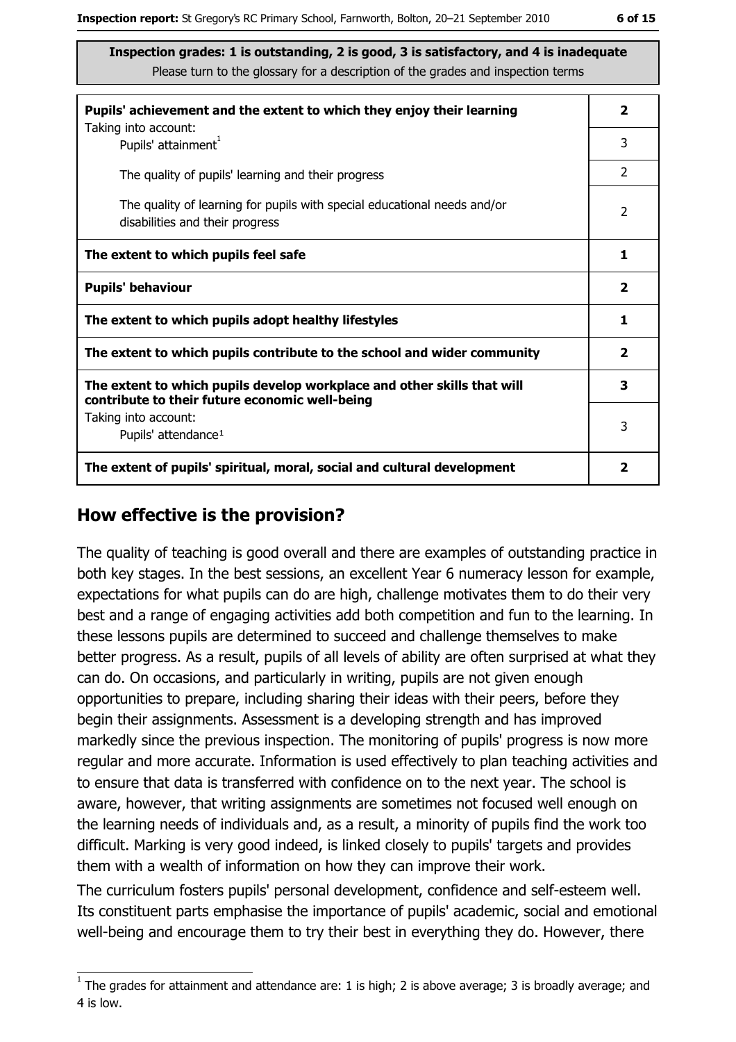| Pupils' achievement and the extent to which they enjoy their learning                                                     | $\mathbf{2}$            |
|---------------------------------------------------------------------------------------------------------------------------|-------------------------|
| Taking into account:<br>Pupils' attainment <sup>1</sup>                                                                   | 3                       |
| The quality of pupils' learning and their progress                                                                        | 2                       |
| The quality of learning for pupils with special educational needs and/or<br>disabilities and their progress               | 2                       |
| The extent to which pupils feel safe                                                                                      | 1                       |
| <b>Pupils' behaviour</b>                                                                                                  | $\overline{\mathbf{2}}$ |
| The extent to which pupils adopt healthy lifestyles                                                                       | 1                       |
| The extent to which pupils contribute to the school and wider community                                                   | $\mathbf{2}$            |
| The extent to which pupils develop workplace and other skills that will<br>contribute to their future economic well-being | 3                       |
| Taking into account:<br>Pupils' attendance <sup>1</sup>                                                                   | 3                       |
| The extent of pupils' spiritual, moral, social and cultural development                                                   | 2                       |

#### How effective is the provision?

The quality of teaching is good overall and there are examples of outstanding practice in both key stages. In the best sessions, an excellent Year 6 numeracy lesson for example, expectations for what pupils can do are high, challenge motivates them to do their very best and a range of engaging activities add both competition and fun to the learning. In these lessons pupils are determined to succeed and challenge themselves to make better progress. As a result, pupils of all levels of ability are often surprised at what they can do. On occasions, and particularly in writing, pupils are not given enough opportunities to prepare, including sharing their ideas with their peers, before they begin their assignments. Assessment is a developing strength and has improved markedly since the previous inspection. The monitoring of pupils' progress is now more regular and more accurate. Information is used effectively to plan teaching activities and to ensure that data is transferred with confidence on to the next year. The school is aware, however, that writing assignments are sometimes not focused well enough on the learning needs of individuals and, as a result, a minority of pupils find the work too difficult. Marking is very good indeed, is linked closely to pupils' targets and provides them with a wealth of information on how they can improve their work.

The curriculum fosters pupils' personal development, confidence and self-esteem well. Its constituent parts emphasise the importance of pupils' academic, social and emotional well-being and encourage them to try their best in everything they do. However, there

 $1$  The arades for attainment and attendance are: 1 is high; 2 is above average; 3 is broadly average; and 4 is low.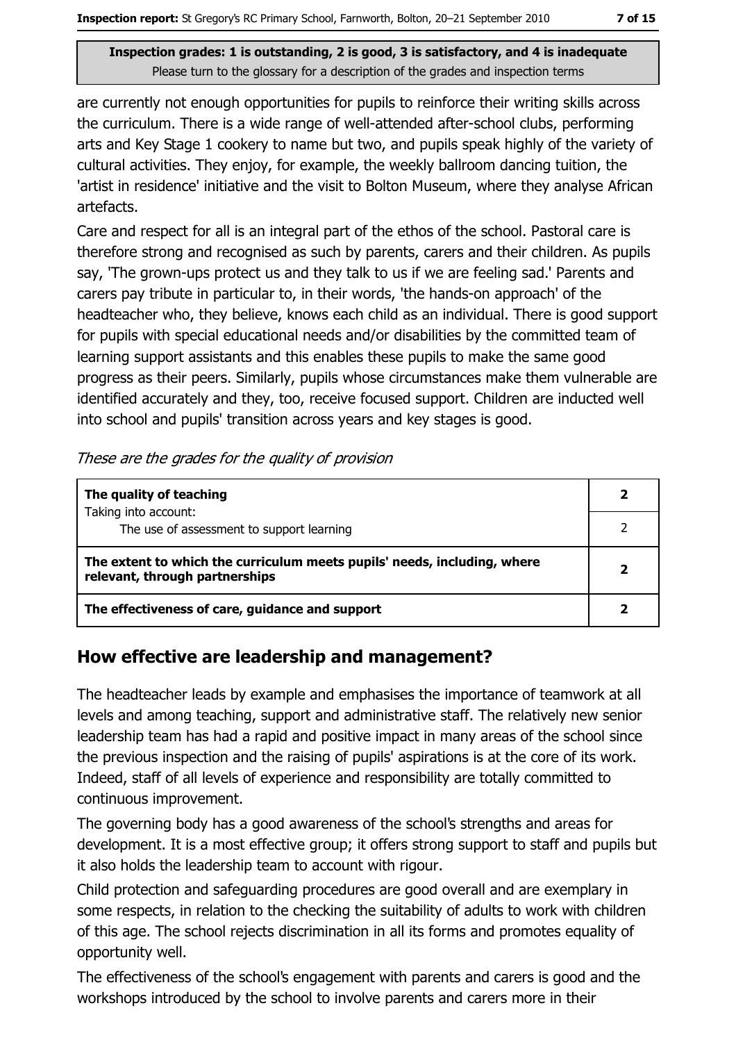are currently not enough opportunities for pupils to reinforce their writing skills across the curriculum. There is a wide range of well-attended after-school clubs, performing arts and Key Stage 1 cookery to name but two, and pupils speak highly of the variety of cultural activities. They enjoy, for example, the weekly ballroom dancing tuition, the 'artist in residence' initiative and the visit to Bolton Museum, where they analyse African artefacts.

Care and respect for all is an integral part of the ethos of the school. Pastoral care is therefore strong and recognised as such by parents, carers and their children. As pupils say, 'The grown-ups protect us and they talk to us if we are feeling sad.' Parents and carers pay tribute in particular to, in their words, 'the hands-on approach' of the headteacher who, they believe, knows each child as an individual. There is good support for pupils with special educational needs and/or disabilities by the committed team of learning support assistants and this enables these pupils to make the same good progress as their peers. Similarly, pupils whose circumstances make them vulnerable are identified accurately and they, too, receive focused support. Children are inducted well into school and pupils' transition across years and key stages is good.

These are the grades for the quality of provision

| The quality of teaching                                                                                    |  |
|------------------------------------------------------------------------------------------------------------|--|
| Taking into account:<br>The use of assessment to support learning                                          |  |
| The extent to which the curriculum meets pupils' needs, including, where<br>relevant, through partnerships |  |
| The effectiveness of care, guidance and support                                                            |  |

## How effective are leadership and management?

The headteacher leads by example and emphasises the importance of teamwork at all levels and among teaching, support and administrative staff. The relatively new senior leadership team has had a rapid and positive impact in many areas of the school since the previous inspection and the raising of pupils' aspirations is at the core of its work. Indeed, staff of all levels of experience and responsibility are totally committed to continuous improvement.

The governing body has a good awareness of the school's strengths and areas for development. It is a most effective group; it offers strong support to staff and pupils but it also holds the leadership team to account with rigour.

Child protection and safeguarding procedures are good overall and are exemplary in some respects, in relation to the checking the suitability of adults to work with children of this age. The school rejects discrimination in all its forms and promotes equality of opportunity well.

The effectiveness of the school's engagement with parents and carers is good and the workshops introduced by the school to involve parents and carers more in their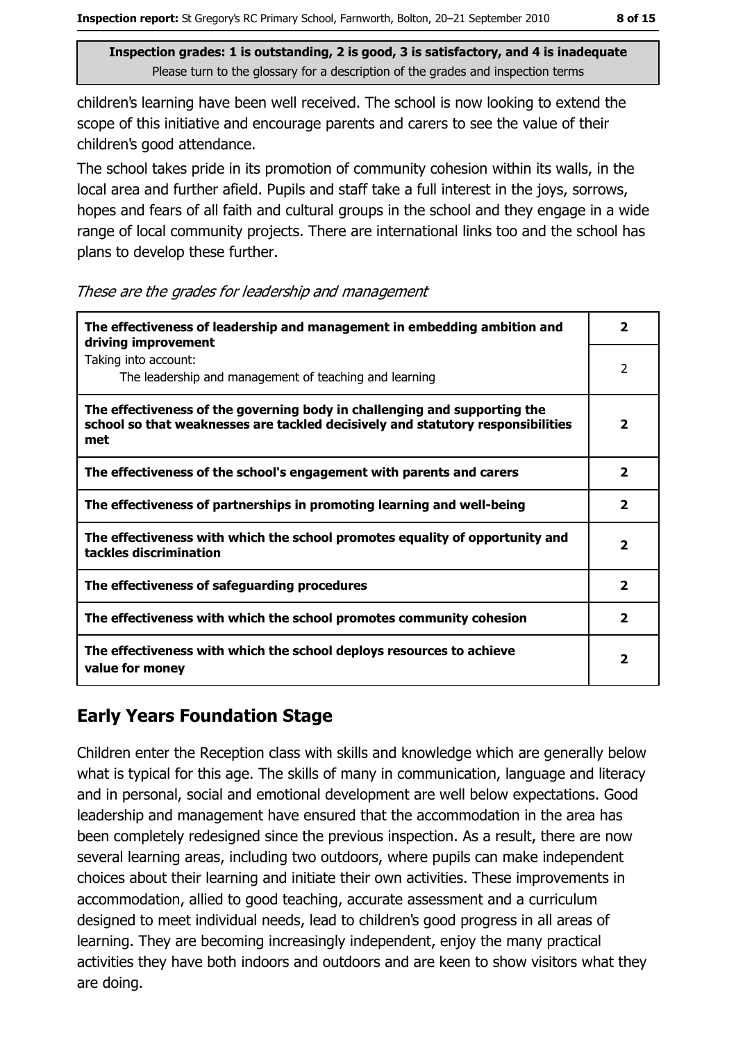children's learning have been well received. The school is now looking to extend the scope of this initiative and encourage parents and carers to see the value of their children's good attendance.

The school takes pride in its promotion of community cohesion within its walls, in the local area and further afield. Pupils and staff take a full interest in the joys, sorrows, hopes and fears of all faith and cultural groups in the school and they engage in a wide range of local community projects. There are international links too and the school has plans to develop these further.

These are the grades for leadership and management

| The effectiveness of leadership and management in embedding ambition and<br>driving improvement                                                                     | 2                       |
|---------------------------------------------------------------------------------------------------------------------------------------------------------------------|-------------------------|
| Taking into account:<br>The leadership and management of teaching and learning                                                                                      | $\mathcal{P}$           |
| The effectiveness of the governing body in challenging and supporting the<br>school so that weaknesses are tackled decisively and statutory responsibilities<br>met | 2                       |
| The effectiveness of the school's engagement with parents and carers                                                                                                | $\overline{\mathbf{2}}$ |
| The effectiveness of partnerships in promoting learning and well-being                                                                                              | 2                       |
| The effectiveness with which the school promotes equality of opportunity and<br>tackles discrimination                                                              | $\overline{\mathbf{2}}$ |
| The effectiveness of safeguarding procedures                                                                                                                        | $\mathbf{2}$            |
| The effectiveness with which the school promotes community cohesion                                                                                                 | 2                       |
| The effectiveness with which the school deploys resources to achieve<br>value for money                                                                             | $\overline{\mathbf{2}}$ |

### **Early Years Foundation Stage**

Children enter the Reception class with skills and knowledge which are generally below what is typical for this age. The skills of many in communication, language and literacy and in personal, social and emotional development are well below expectations. Good leadership and management have ensured that the accommodation in the area has been completely redesigned since the previous inspection. As a result, there are now several learning areas, including two outdoors, where pupils can make independent choices about their learning and initiate their own activities. These improvements in accommodation, allied to good teaching, accurate assessment and a curriculum designed to meet individual needs, lead to children's good progress in all areas of learning. They are becoming increasingly independent, enjoy the many practical activities they have both indoors and outdoors and are keen to show visitors what they are doing.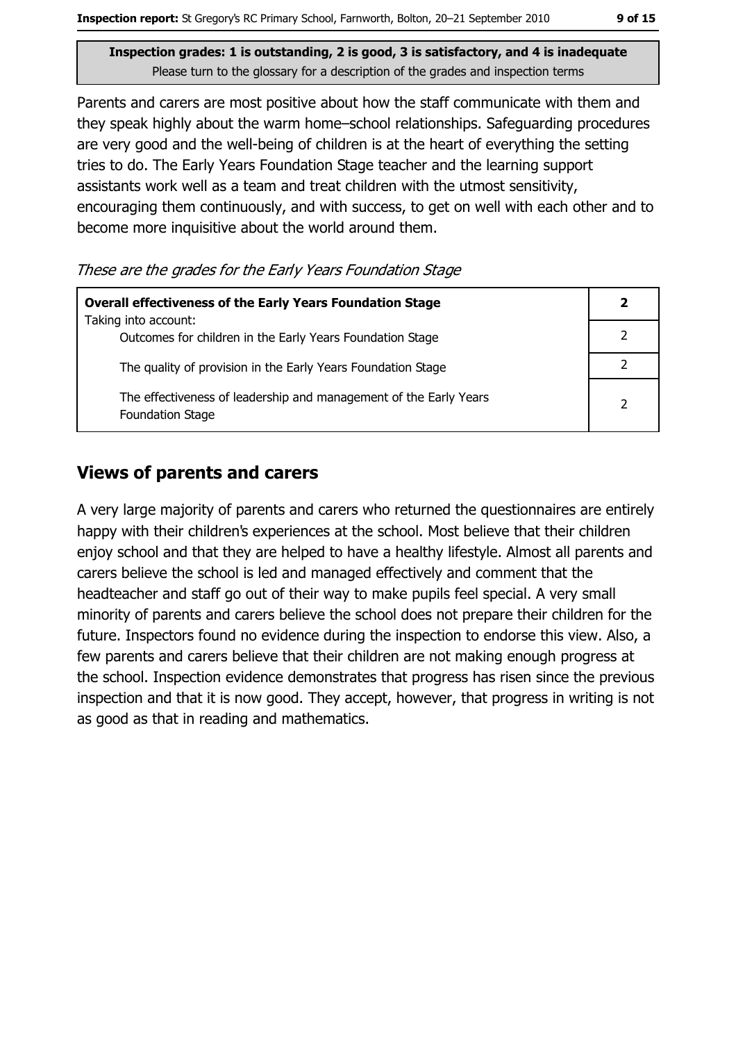9 of 15

Inspection grades: 1 is outstanding, 2 is good, 3 is satisfactory, and 4 is inadequate Please turn to the glossary for a description of the grades and inspection terms

Parents and carers are most positive about how the staff communicate with them and they speak highly about the warm home-school relationships. Safeguarding procedures are very good and the well-being of children is at the heart of everything the setting tries to do. The Early Years Foundation Stage teacher and the learning support assistants work well as a team and treat children with the utmost sensitivity, encouraging them continuously, and with success, to get on well with each other and to become more inquisitive about the world around them.

These are the grades for the Early Years Foundation Stage

| <b>Overall effectiveness of the Early Years Foundation Stage</b><br>Taking into account:     |               |
|----------------------------------------------------------------------------------------------|---------------|
| Outcomes for children in the Early Years Foundation Stage                                    |               |
| The quality of provision in the Early Years Foundation Stage                                 |               |
| The effectiveness of leadership and management of the Early Years<br><b>Foundation Stage</b> | $\mathcal{P}$ |

#### **Views of parents and carers**

A very large majority of parents and carers who returned the questionnaires are entirely happy with their children's experiences at the school. Most believe that their children enjoy school and that they are helped to have a healthy lifestyle. Almost all parents and carers believe the school is led and managed effectively and comment that the headteacher and staff go out of their way to make pupils feel special. A very small minority of parents and carers believe the school does not prepare their children for the future. Inspectors found no evidence during the inspection to endorse this view. Also, a few parents and carers believe that their children are not making enough progress at the school. Inspection evidence demonstrates that progress has risen since the previous inspection and that it is now good. They accept, however, that progress in writing is not as good as that in reading and mathematics.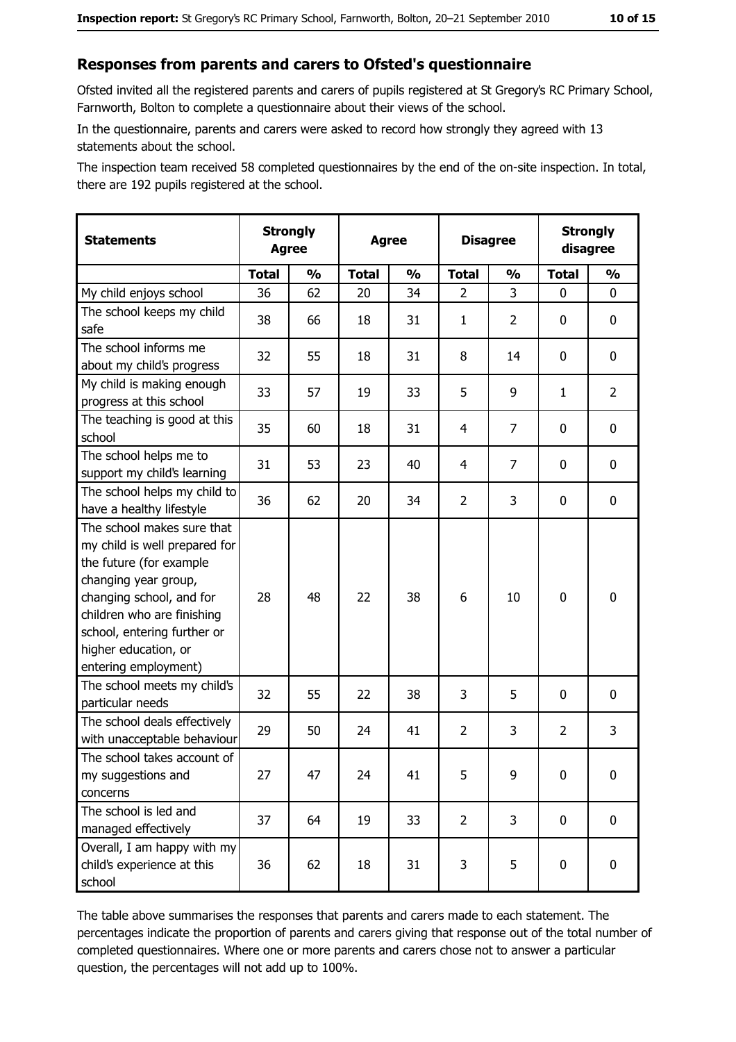#### Responses from parents and carers to Ofsted's questionnaire

Ofsted invited all the registered parents and carers of pupils registered at St Gregory's RC Primary School, Farnworth, Bolton to complete a questionnaire about their views of the school.

In the questionnaire, parents and carers were asked to record how strongly they agreed with 13 statements about the school.

The inspection team received 58 completed questionnaires by the end of the on-site inspection. In total, there are 192 pupils registered at the school.

| <b>Statements</b>                                                                                                                                                                                                                                       | <b>Strongly</b><br><b>Agree</b> |               | <b>Agree</b> |               | <b>Disagree</b> |               | <b>Strongly</b><br>disagree |                |
|---------------------------------------------------------------------------------------------------------------------------------------------------------------------------------------------------------------------------------------------------------|---------------------------------|---------------|--------------|---------------|-----------------|---------------|-----------------------------|----------------|
|                                                                                                                                                                                                                                                         | <b>Total</b>                    | $\frac{1}{2}$ | <b>Total</b> | $\frac{0}{0}$ | <b>Total</b>    | $\frac{0}{0}$ | <b>Total</b>                | $\frac{0}{0}$  |
| My child enjoys school                                                                                                                                                                                                                                  | 36                              | 62            | 20           | 34            | $\overline{2}$  | 3             | $\Omega$                    | 0              |
| The school keeps my child<br>safe                                                                                                                                                                                                                       | 38                              | 66            | 18           | 31            | $\mathbf{1}$    | 2             | 0                           | 0              |
| The school informs me<br>about my child's progress                                                                                                                                                                                                      | 32                              | 55            | 18           | 31            | 8               | 14            | 0                           | 0              |
| My child is making enough<br>progress at this school                                                                                                                                                                                                    | 33                              | 57            | 19           | 33            | 5               | 9             | $\mathbf{1}$                | $\overline{2}$ |
| The teaching is good at this<br>school                                                                                                                                                                                                                  | 35                              | 60            | 18           | 31            | $\overline{4}$  | 7             | 0                           | 0              |
| The school helps me to<br>support my child's learning                                                                                                                                                                                                   | 31                              | 53            | 23           | 40            | $\overline{4}$  | 7             | 0                           | 0              |
| The school helps my child to<br>have a healthy lifestyle                                                                                                                                                                                                | 36                              | 62            | 20           | 34            | $\overline{2}$  | 3             | 0                           | 0              |
| The school makes sure that<br>my child is well prepared for<br>the future (for example<br>changing year group,<br>changing school, and for<br>children who are finishing<br>school, entering further or<br>higher education, or<br>entering employment) | 28                              | 48            | 22           | 38            | 6               | 10            | $\mathbf 0$                 | 0              |
| The school meets my child's<br>particular needs                                                                                                                                                                                                         | 32                              | 55            | 22           | 38            | 3               | 5             | 0                           | 0              |
| The school deals effectively<br>with unacceptable behaviour                                                                                                                                                                                             | 29                              | 50            | 24           | 41            | $\overline{2}$  | 3             | $\overline{2}$              | 3              |
| The school takes account of<br>my suggestions and<br>concerns                                                                                                                                                                                           | 27                              | 47            | 24           | 41            | 5               | 9             | 0                           | 0              |
| The school is led and<br>managed effectively                                                                                                                                                                                                            | 37                              | 64            | 19           | 33            | $\overline{2}$  | 3             | 0                           | $\mathbf 0$    |
| Overall, I am happy with my<br>child's experience at this<br>school                                                                                                                                                                                     | 36                              | 62            | 18           | 31            | 3               | 5             | $\mathbf 0$                 | 0              |

The table above summarises the responses that parents and carers made to each statement. The percentages indicate the proportion of parents and carers giving that response out of the total number of completed questionnaires. Where one or more parents and carers chose not to answer a particular question, the percentages will not add up to 100%.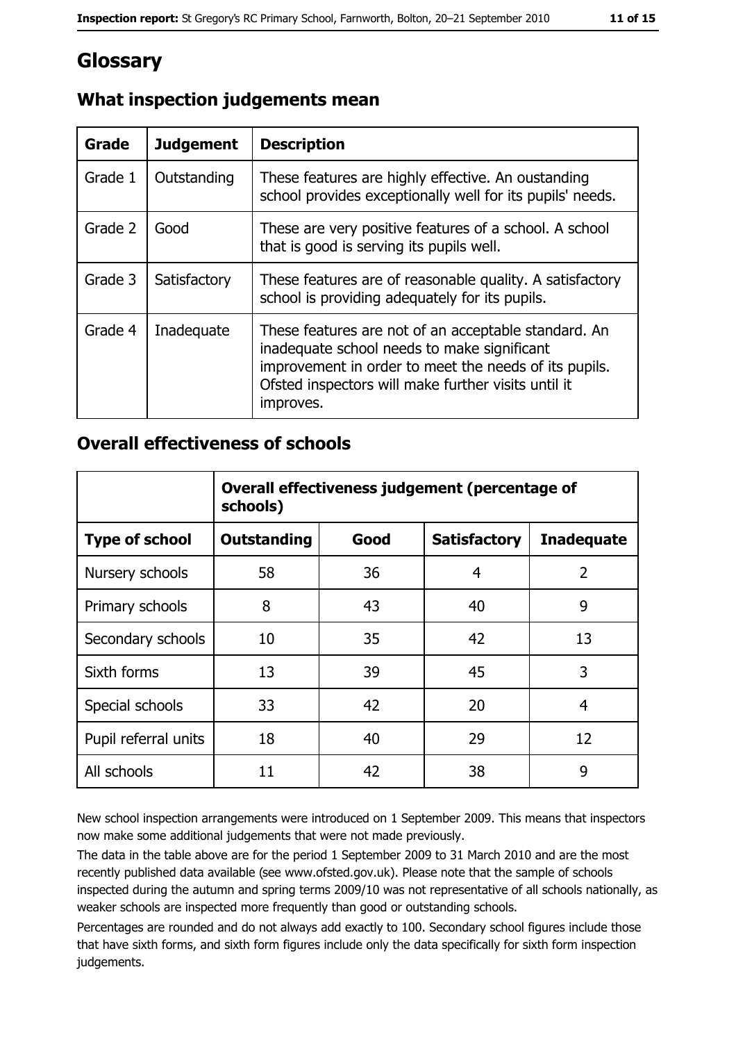# Glossary

| Grade   | <b>Judgement</b> | <b>Description</b>                                                                                                                                                                                                               |
|---------|------------------|----------------------------------------------------------------------------------------------------------------------------------------------------------------------------------------------------------------------------------|
| Grade 1 | Outstanding      | These features are highly effective. An oustanding<br>school provides exceptionally well for its pupils' needs.                                                                                                                  |
| Grade 2 | Good             | These are very positive features of a school. A school<br>that is good is serving its pupils well.                                                                                                                               |
| Grade 3 | Satisfactory     | These features are of reasonable quality. A satisfactory<br>school is providing adequately for its pupils.                                                                                                                       |
| Grade 4 | Inadequate       | These features are not of an acceptable standard. An<br>inadequate school needs to make significant<br>improvement in order to meet the needs of its pupils.<br>Ofsted inspectors will make further visits until it<br>improves. |

## What inspection judgements mean

### **Overall effectiveness of schools**

|                       | Overall effectiveness judgement (percentage of<br>schools) |      |                     |                   |
|-----------------------|------------------------------------------------------------|------|---------------------|-------------------|
| <b>Type of school</b> | <b>Outstanding</b>                                         | Good | <b>Satisfactory</b> | <b>Inadequate</b> |
| Nursery schools       | 58                                                         | 36   | 4                   | $\overline{2}$    |
| Primary schools       | 8                                                          | 43   | 40                  | 9                 |
| Secondary schools     | 10                                                         | 35   | 42                  | 13                |
| Sixth forms           | 13                                                         | 39   | 45                  | 3                 |
| Special schools       | 33                                                         | 42   | 20                  | 4                 |
| Pupil referral units  | 18                                                         | 40   | 29                  | 12                |
| All schools           | 11                                                         | 42   | 38                  | 9                 |

New school inspection arrangements were introduced on 1 September 2009. This means that inspectors now make some additional judgements that were not made previously.

The data in the table above are for the period 1 September 2009 to 31 March 2010 and are the most recently published data available (see www.ofsted.gov.uk). Please note that the sample of schools inspected during the autumn and spring terms 2009/10 was not representative of all schools nationally, as weaker schools are inspected more frequently than good or outstanding schools.

Percentages are rounded and do not always add exactly to 100. Secondary school figures include those that have sixth forms, and sixth form figures include only the data specifically for sixth form inspection judgements.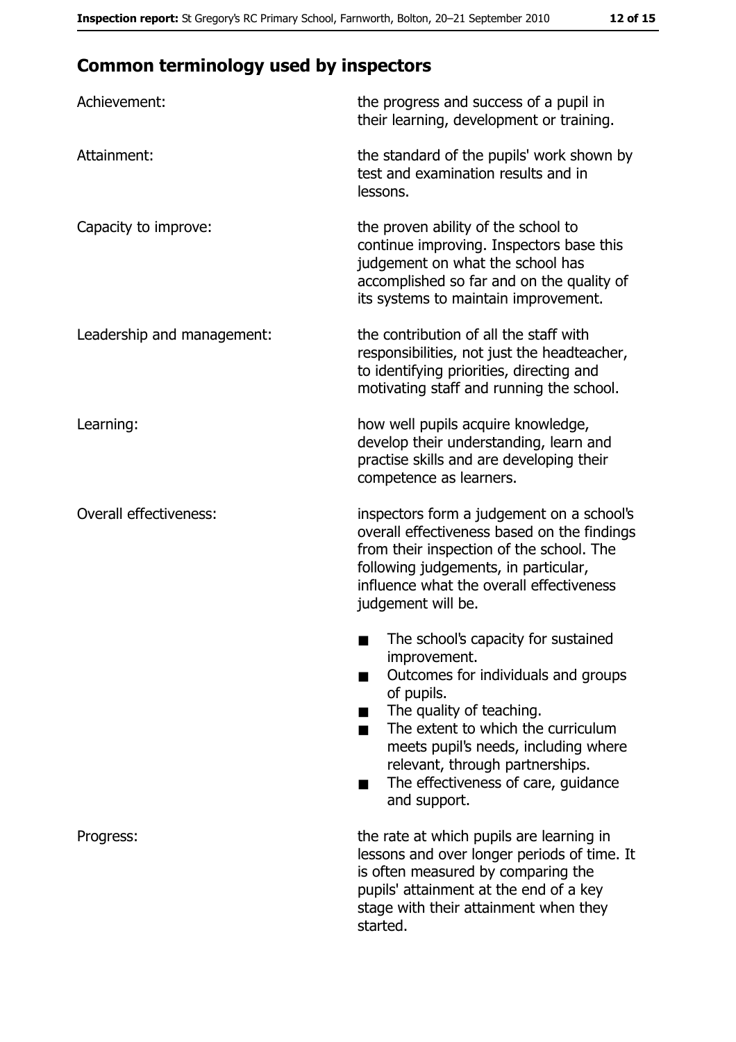# **Common terminology used by inspectors**

| Achievement:                  | the progress and success of a pupil in<br>their learning, development or training.                                                                                                                                                                                                                           |
|-------------------------------|--------------------------------------------------------------------------------------------------------------------------------------------------------------------------------------------------------------------------------------------------------------------------------------------------------------|
| Attainment:                   | the standard of the pupils' work shown by<br>test and examination results and in<br>lessons.                                                                                                                                                                                                                 |
| Capacity to improve:          | the proven ability of the school to<br>continue improving. Inspectors base this<br>judgement on what the school has<br>accomplished so far and on the quality of<br>its systems to maintain improvement.                                                                                                     |
| Leadership and management:    | the contribution of all the staff with<br>responsibilities, not just the headteacher,<br>to identifying priorities, directing and<br>motivating staff and running the school.                                                                                                                                |
| Learning:                     | how well pupils acquire knowledge,<br>develop their understanding, learn and<br>practise skills and are developing their<br>competence as learners.                                                                                                                                                          |
| <b>Overall effectiveness:</b> | inspectors form a judgement on a school's<br>overall effectiveness based on the findings<br>from their inspection of the school. The<br>following judgements, in particular,<br>influence what the overall effectiveness<br>judgement will be.                                                               |
|                               | The school's capacity for sustained<br>improvement.<br>Outcomes for individuals and groups<br>of pupils.<br>The quality of teaching.<br>The extent to which the curriculum<br>meets pupil's needs, including where<br>relevant, through partnerships.<br>The effectiveness of care, guidance<br>and support. |
| Progress:                     | the rate at which pupils are learning in<br>lessons and over longer periods of time. It<br>is often measured by comparing the<br>pupils' attainment at the end of a key<br>stage with their attainment when they<br>started.                                                                                 |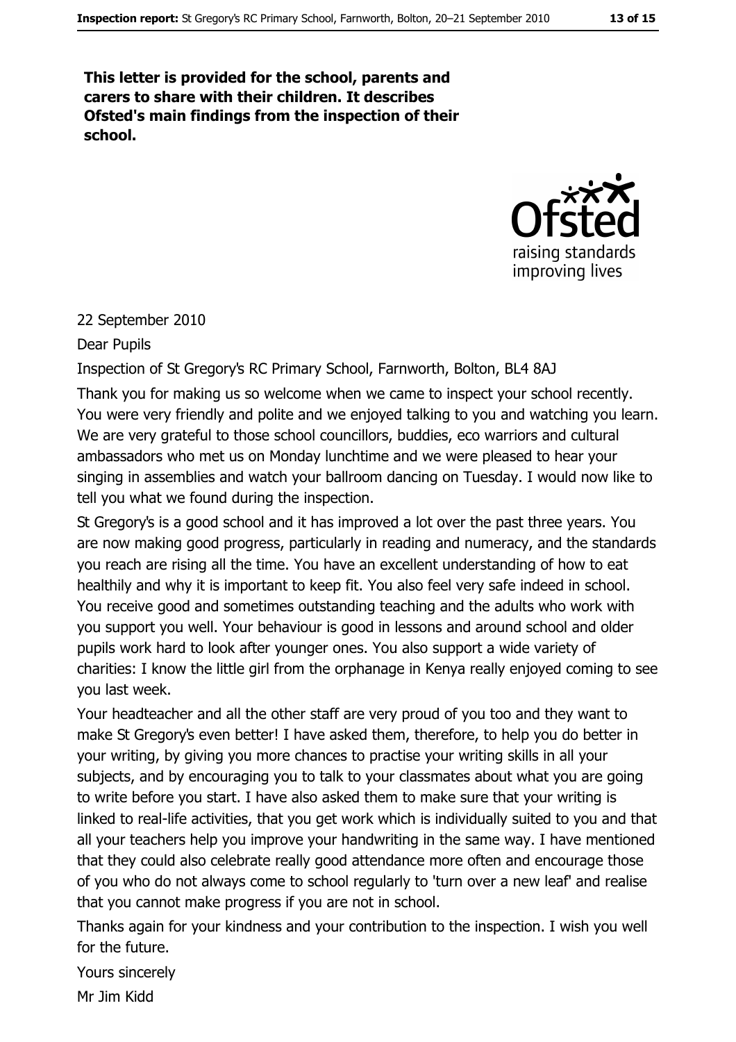This letter is provided for the school, parents and carers to share with their children. It describes Ofsted's main findings from the inspection of their school.



#### 22 September 2010

#### Dear Pupils

#### Inspection of St Gregory's RC Primary School, Farnworth, Bolton, BL4 8AJ

Thank you for making us so welcome when we came to inspect your school recently. You were very friendly and polite and we enioved talking to you and watching you learn. We are very grateful to those school councillors, buddies, eco warriors and cultural ambassadors who met us on Monday lunchtime and we were pleased to hear your singing in assemblies and watch your ballroom dancing on Tuesday. I would now like to tell you what we found during the inspection.

St Gregory's is a good school and it has improved a lot over the past three years. You are now making good progress, particularly in reading and numeracy, and the standards you reach are rising all the time. You have an excellent understanding of how to eat healthily and why it is important to keep fit. You also feel very safe indeed in school. You receive good and sometimes outstanding teaching and the adults who work with you support you well. Your behaviour is good in lessons and around school and older pupils work hard to look after younger ones. You also support a wide variety of charities: I know the little girl from the orphanage in Kenya really enjoyed coming to see you last week.

Your headteacher and all the other staff are very proud of you too and they want to make St Gregory's even better! I have asked them, therefore, to help you do better in your writing, by giving you more chances to practise your writing skills in all your subjects, and by encouraging you to talk to your classmates about what you are going to write before you start. I have also asked them to make sure that your writing is linked to real-life activities, that you get work which is individually suited to you and that all your teachers help you improve your handwriting in the same way. I have mentioned that they could also celebrate really good attendance more often and encourage those of you who do not always come to school regularly to 'turn over a new leaf' and realise that you cannot make progress if you are not in school.

Thanks again for your kindness and your contribution to the inspection. I wish you well for the future.

Yours sincerely

Mr 1im Kidd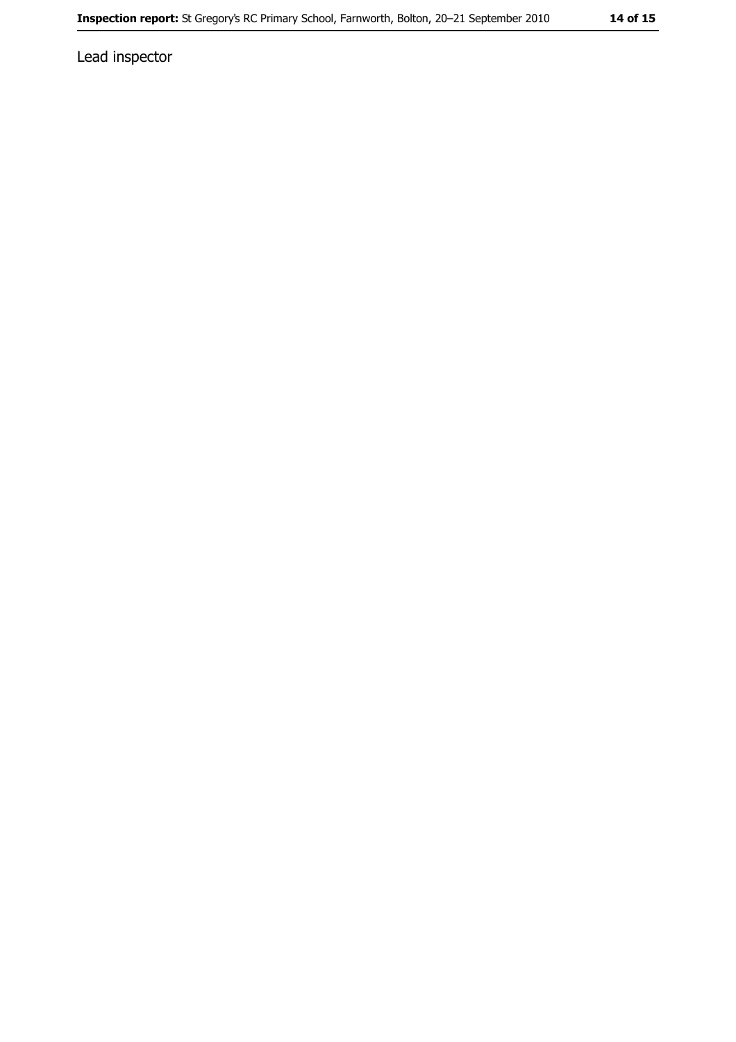Lead inspector